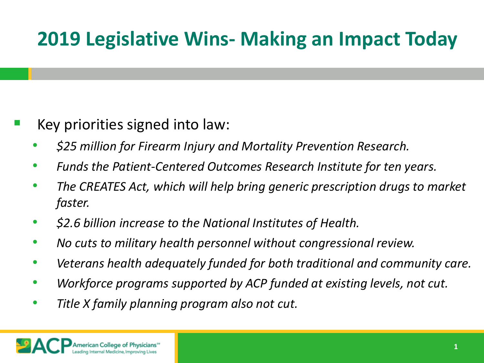## **2019 Legislative Wins- Making an Impact Today**

- Key priorities signed into law:
	- *\$25 million for Firearm Injury and Mortality Prevention Research.*
	- *Funds the Patient-Centered Outcomes Research Institute for ten years.*
	- *The CREATES Act, which will help bring generic prescription drugs to market faster.*
	- *\$2.6 billion increase to the National Institutes of Health.*
	- *No cuts to military health personnel without congressional review.*
	- *Veterans health adequately funded for both traditional and community care.*
	- *Workforce programs supported by ACP funded at existing levels, not cut.*
	- *Title X family planning program also not cut.*